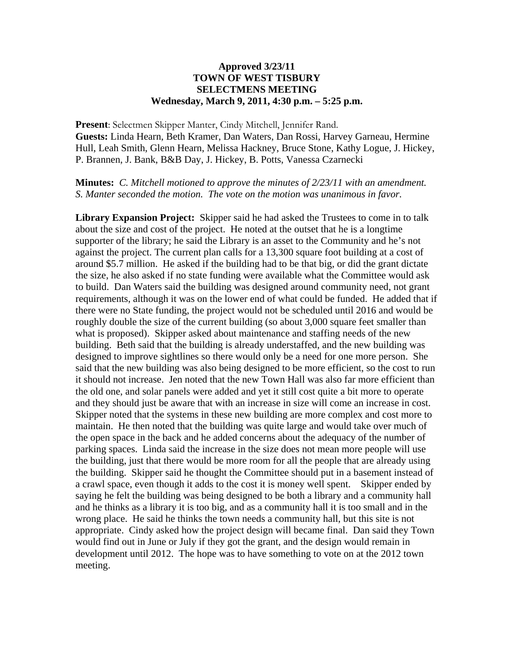## **Approved 3/23/11 TOWN OF WEST TISBURY SELECTMENS MEETING Wednesday, March 9, 2011, 4:30 p.m. – 5:25 p.m.**

**Present**: Selectmen Skipper Manter, Cindy Mitchell, Jennifer Rand. **Guests:** Linda Hearn, Beth Kramer, Dan Waters, Dan Rossi, Harvey Garneau, Hermine Hull, Leah Smith, Glenn Hearn, Melissa Hackney, Bruce Stone, Kathy Logue, J. Hickey, P. Brannen, J. Bank, B&B Day, J. Hickey, B. Potts, Vanessa Czarnecki

**Minutes:** *C. Mitchell motioned to approve the minutes of 2/23/11 with an amendment. S. Manter seconded the motion. The vote on the motion was unanimous in favor.* 

**Library Expansion Project:** Skipper said he had asked the Trustees to come in to talk about the size and cost of the project. He noted at the outset that he is a longtime supporter of the library; he said the Library is an asset to the Community and he's not against the project. The current plan calls for a 13,300 square foot building at a cost of around \$5.7 million. He asked if the building had to be that big, or did the grant dictate the size, he also asked if no state funding were available what the Committee would ask to build. Dan Waters said the building was designed around community need, not grant requirements, although it was on the lower end of what could be funded. He added that if there were no State funding, the project would not be scheduled until 2016 and would be roughly double the size of the current building (so about 3,000 square feet smaller than what is proposed). Skipper asked about maintenance and staffing needs of the new building. Beth said that the building is already understaffed, and the new building was designed to improve sightlines so there would only be a need for one more person. She said that the new building was also being designed to be more efficient, so the cost to run it should not increase. Jen noted that the new Town Hall was also far more efficient than the old one, and solar panels were added and yet it still cost quite a bit more to operate and they should just be aware that with an increase in size will come an increase in cost. Skipper noted that the systems in these new building are more complex and cost more to maintain. He then noted that the building was quite large and would take over much of the open space in the back and he added concerns about the adequacy of the number of parking spaces. Linda said the increase in the size does not mean more people will use the building, just that there would be more room for all the people that are already using the building. Skipper said he thought the Committee should put in a basement instead of a crawl space, even though it adds to the cost it is money well spent. Skipper ended by saying he felt the building was being designed to be both a library and a community hall and he thinks as a library it is too big, and as a community hall it is too small and in the wrong place. He said he thinks the town needs a community hall, but this site is not appropriate. Cindy asked how the project design will became final. Dan said they Town would find out in June or July if they got the grant, and the design would remain in development until 2012. The hope was to have something to vote on at the 2012 town meeting.